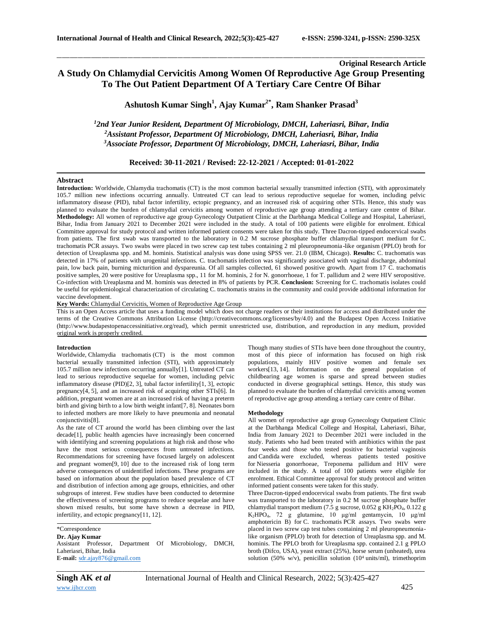# **Original Research Article A Study On Chlamydial Cervicitis Among Women Of Reproductive Age Group Presenting To The Out Patient Department Of A Tertiary Care Centre Of Bihar**

\_\_\_\_\_\_\_\_\_\_\_\_\_\_\_\_\_\_\_\_\_\_\_\_\_\_\_\_\_\_\_\_\_\_\_\_\_\_\_\_\_\_\_\_\_\_\_\_\_\_\_\_\_\_\_\_\_\_\_\_\_\_\_\_\_\_\_\_\_\_\_\_\_\_\_\_\_\_\_\_\_\_\_\_\_\_\_\_\_\_\_\_\_\_\_\_\_\_\_\_\_\_\_\_\_\_\_\_\_\_\_\_\_\_\_\_\_\_\_\_\_\_\_\_\_\_\_\_\_\_\_\_\_\_\_\_\_\_\_\_

**Ashutosh Kumar Singh<sup>1</sup> , Ajay Kumar2\* , Ram Shanker Prasad<sup>3</sup>**

*<sup>1</sup>2nd Year Junior Resident, Department Of Microbiology, DMCH, Laheriasri, Bihar, India <sup>2</sup>Assistant Professor, Department Of Microbiology, DMCH, Laheriasri, Bihar, India <sup>3</sup>Associate Professor, Department Of Microbiology, DMCH, Laheriasri, Bihar, India*

**Received: 30-11-2021 / Revised: 22-12-2021 / Accepted: 01-01-2022**

## **Abstract**

**Introduction:** Worldwide, Chlamydia trachomatis (CT) is the most common bacterial sexually transmitted infection (STI), with approximately 105.7 million new infections occurring annually. Untreated CT can lead to serious reproductive sequelae for women, including pelvic inflammatory disease (PID), tubal factor infertility, ectopic pregnancy, and an increased risk of acquiring other STIs. Hence, this study was planned to evaluate the burden of chlamydial cervicitis among women of reproductive age group attending a tertiary care centre of Bihar. **Methodology:** All women of reproductive age group Gynecology Outpatient Clinic at the Darbhanga Medical College and Hospital, Laheriasri, Bihar, India from January 2021 to December 2021 were included in the study. A total of 100 patients were eligible for enrolment. Ethical Committee approval for study protocol and written informed patient consents were taken for this study. Three Dacron-tipped endocervical swabs from patients. The first swab was transported to the laboratory in 0.2 M sucrose phosphate buffer chlamydial transport medium for C. trachomatis PCR assays. Two swabs were placed in two screw cap test tubes containing 2 ml pleuropneumonia -like organism (PPLO) broth for detection of Ureaplasma spp. and M. hominis. Statistical analysis was done using SPSS ver. 21.0 (IBM, Chicago). **Results:** C. trachomatis was detected in 17% of patients with urogenital infections. C. trachomatis infection was significantly associated with vaginal discharge, abdominal pain, low back pain, burning micturition and dyspareunia. Of all samples collected, 61 showed positive growth. Apart from 17 C. trachomatis positive samples, 20 were positive for Ureaplasma spp., 11 for M. hominis, 2 for N. gonorrhoeae, 1 for T. pallidum and 2 were HIV seropositive. Co-infection with Ureaplasma and M. hominis was detected in 8% of patients by PCR. **Conclusion:** Screening for C. trachomatis isolates could be useful for epidemiological characterization of circulating C. trachomatis strains in the community and could provide additional information for vaccine development.

**Key Words:** Chlamydial Cervicitis, Women of Reproductive Age Group

This is an Open Access article that uses a funding model which does not charge readers or their institutions for access and distributed under the terms of the Creative Commons Attribution License (http://creativecommons.org/licenses/by/4.0) and the Budapest Open Access Initiative (http://www.budapestopenaccessinitiative.org/read), which permit unrestricted use, distribution, and reproduction in any medium, provided original work is properly credited.

### **Introduction**

Worldwide, Chlamydia trachomatis (CT) is the most common bacterial sexually transmitted infection (STI), with approximately 105.7 million new infections occurring annually[1]. Untreated CT can lead to serious reproductive sequelae for women, including pelvic inflammatory disease (PID)[2, 3], tubal factor infertility[1, 3], ectopic pregnancy[4, 5], and an increased risk of acquiring other STIs[6]. In addition, pregnant women are at an increased risk of having a preterm birth and giving birth to a low birth weight infant[7, 8]. Neonates born to infected mothers are more likely to have pneumonia and neonatal conjunctivitis[8].

As the rate of CT around the world has been climbing over the last decade[1], public health agencies have increasingly been concerned with identifying and screening populations at high risk and those who have the most serious consequences from untreated infections. Recommendations for screening have focused largely on adolescent and pregnant women[9, 10] due to the increased risk of long term adverse consequences of unidentified infections. These programs are based on information about the population based prevalence of CT and distribution of infection among age groups, ethnicities, and other subgroups of interest. Few studies have been conducted to determine the effectiveness of screening programs to reduce sequelae and have shown mixed results, but some have shown a decrease in PID, infertility, and ectopic pregnancy[11, 12].

\*Correspondence

**Dr. Ajay Kumar** Assistant Professor, Department Of Microbiology, DMCH, Laheriasri, Bihar, India **E-mail:** [sdr.ajay876@gmail.com](mailto:srilakshmi30doc@gmail.com)

Though many studies of STIs have been done throughout the country, most of this piece of information has focused on high risk populations, mainly HIV positive women and female sex workers[13, 14]. Information on the general population of childbearing age women is sparse and spread between studies conducted in diverse geographical settings. Hence, this study was planned to evaluate the burden of chlamydial cervicitis among women of reproductive age group attending a tertiary care centre of Bihar.

#### **Methodology**

All women of reproductive age group Gynecology Outpatient Clinic at the Darbhanga Medical College and Hospital, Laheriasri, Bihar, India from January 2021 to December 2021 were included in the study. Patients who had been treated with antibiotics within the past four weeks and those who tested positive for bacterial vaginosis and Candida were excluded, whereas patients tested positive for Niesseria gonorrhoeae, Treponema pallidum and HIV were included in the study. A total of 100 patients were eligible for enrolment. Ethical Committee approval for study protocol and written informed patient consents were taken for this study.

Three Dacron-tipped endocervical swabs from patients. The first swab was transported to the laboratory in 0.2 M sucrose phosphate buffer chlamydial transport medium (7.5 g sucrose, 0.052 g KH<sub>2</sub>PO<sub>4</sub>, 0.122 g K2HPO4, 72 g glutamine, 10 μg/ml gentamycin, 10 μg/ml amphotericin B) for C. trachomatis PCR assays. Two swabs were placed in two screw cap test tubes containing 2 ml pleuropneumonialike organism (PPLO) broth for detection of Ureaplasma spp. and M. hominis. The PPLO broth for Ureaplasma spp. contained 2.1 g PPLO broth (Difco, USA), yeast extract (25%), horse serum (unheated), urea solution (50% w/v), penicillin solution (10<sup>4</sup> units/ml), trimethoprim

*\_\_\_\_\_\_\_\_\_\_\_\_\_\_\_\_\_\_\_\_\_\_\_\_\_\_\_\_\_\_\_\_\_\_\_\_\_\_\_\_\_\_\_\_\_\_\_\_\_\_\_\_\_\_\_\_\_\_\_\_\_\_\_\_\_\_\_\_\_\_\_\_\_\_\_\_\_\_\_\_\_\_\_\_\_\_\_\_\_\_\_\_\_\_\_\_\_\_\_\_\_\_\_\_\_\_\_\_\_\_\_\_\_\_\_\_\_\_\_\_\_\_\_\_\_\_\_\_\_\_\_\_\_\_\_\_\_\_\_\_*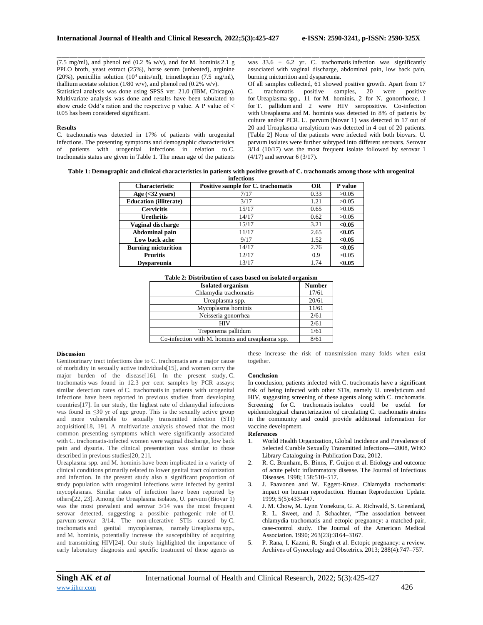(7.5 mg/ml), and phenol red (0.2 % w/v), and for M. hominis 2.1 g PPLO broth, yeast extract (25%), horse serum (unheated), arginine (20%), penicillin solution (10<sup>4</sup> units/ml), trimethoprim (7.5 mg/ml), thallium acetate solution (1/80 w/v), and phenol red (0.2% w/v). Statistical analysis was done using SPSS ver. 21.0 (IBM, Chicago). Multivariate analysis was done and results have been tabulated to show crude Odd's ration and the respective p value. A P value of  $\leq$ 0.05 has been considered significant.

## **Results**

C. trachomatis was detected in 17% of patients with urogenital infections. The presenting symptoms and demographic characteristics of patients with urogenital infections in relation to C. trachomatis status are given in Table 1. The mean age of the patients

\_\_\_\_\_\_\_\_\_\_\_\_\_\_\_\_\_\_\_\_\_\_\_\_\_\_\_\_\_\_\_\_\_\_\_\_\_\_\_\_\_\_\_\_\_\_\_\_\_\_\_\_\_\_\_\_\_\_\_\_\_\_\_\_\_\_\_\_\_\_\_\_\_\_\_\_\_\_\_\_\_\_\_\_\_\_\_\_\_\_\_\_\_\_\_\_\_\_\_\_\_\_\_\_\_\_\_\_\_\_\_\_\_\_\_\_\_\_\_\_\_\_\_\_\_\_\_\_\_\_\_\_\_\_\_\_\_\_\_\_ was  $33.6 \pm 6.2$  yr. C. trachomatis infection was significantly associated with vaginal discharge, abdominal pain, low back pain, burning micturition and dyspareunia.

Of all samples collected, 61 showed positive growth. Apart from 17 C. trachomatis positive samples, 20 were positive for Ureaplasma spp., 11 for M. hominis, 2 for N. gonorrhoeae, 1 for T. pallidum and 2 were HIV seropositive. Co-infection with Ureaplasma and M. hominis was detected in 8% of patients by culture and/or PCR. U. parvum (biovar 1) was detected in 17 out of 20 and Ureaplasma urealyticum was detected in 4 out of 20 patients. [Table 2] None of the patients were infected with both biovars. U. parvum isolates were further subtyped into different serovars. Serovar 3/14 (10/17) was the most frequent isolate followed by serovar 1 (4/17) and serovar 6 (3/17).

| Table 1: Demographic and clinical characteristics in patients with positive growth of C. trachomatis among those with urogenital |  |
|----------------------------------------------------------------------------------------------------------------------------------|--|
| $f_{\alpha}f_{\alpha\alpha}f_{\alpha\alpha\alpha}$                                                                               |  |

| <b>Characteristic</b>         | Positive sample for C. trachomatis | <b>OR</b> | P value |
|-------------------------------|------------------------------------|-----------|---------|
| Age $(32 years)$              | 7/17                               | 0.33      | >0.05   |
| <b>Education (illiterate)</b> | 3/17                               | 1.21      | >0.05   |
| <b>Cervicitis</b>             | 15/17                              | 0.65      | >0.05   |
| <b>Urethritis</b>             | 14/17                              | 0.62      | >0.05   |
| Vaginal discharge             | 15/17                              | 3.21      | < 0.05  |
| Abdominal pain                | 11/17                              | 2.65      | < 0.05  |
| Low back ache                 | 9/17                               | 1.52      | < 0.05  |
| <b>Burning micturition</b>    | 14/17                              | 2.76      | < 0.05  |
| <b>Pruritis</b>               | 12/17                              | 0.9       | >0.05   |
| <b>Dyspareunia</b>            | 13/17                              | 1.74      | < 0.05  |

| Table 2: Distribution of cases based on isolated organism |  |
|-----------------------------------------------------------|--|
|-----------------------------------------------------------|--|

| <b>Isolated organism</b>                         | <b>Number</b> |
|--------------------------------------------------|---------------|
| Chlamydia trachomatis                            | 17/61         |
| Ureaplasma spp.                                  | 20/61         |
| Mycoplasma hominis                               | 11/61         |
| Neisseria gonorrhea                              | 2/61          |
| <b>HIV</b>                                       | 2/61          |
| Treponema pallidum                               | 1/61          |
| Co-infection with M. hominis and ureaplasma spp. | 8/61          |

#### **Discussion**

Genitourinary tract infections due to C. trachomatis are a major cause of morbidity in sexually active individuals[15], and women carry the major burden of the disease[16]. In the present study, C. trachomatis was found in 12.3 per cent samples by PCR assays; similar detection rates of C. trachomatis in patients with urogenital infections have been reported in previous studies from developing countries[17]. In our study, the highest rate of chlamydial infections was found in ≤30 yr of age group. This is the sexually active group and more vulnerable to sexually transmitted infection (STI) acquisition[18, 19]. A multivariate analysis showed that the most common presenting symptoms which were significantly associated with C. trachomatis-infected women were vaginal discharge, low back pain and dysuria. The clinical presentation was similar to those described in previous studies[20, 21].

Ureaplasma spp. and M. hominis have been implicated in a variety of clinical conditions primarily related to lower genital tract colonization and infection. In the present study also a significant proportion of study population with urogenital infections were infected by genital mycoplasmas. Similar rates of infection have been reported by others[22, 23]. Among the Ureaplasma isolates, U. parvum (Biovar 1) was the most prevalent and serovar 3/14 was the most frequent serovar detected, suggesting a possible pathogenic role of U. parvum serovar 3/14. The non-ulcerative STIs caused by C. trachomatis and genital mycoplasmas, namely Ureaplasma spp., and M. hominis, potentially increase the susceptibility of acquiring and transmitting HIV[24]. Our study highlighted the importance of early laboratory diagnosis and specific treatment of these agents as

these increase the risk of transmission many folds when exist together.

## **Conclusion**

In conclusion, patients infected with C. trachomatis have a significant risk of being infected with other STIs, namely U. urealyticum and HIV, suggesting screening of these agents along with C. trachomatis. Screening for C. trachomatis isolates could be useful for epidemiological characterization of circulating C. trachomatis strains in the community and could provide additional information for vaccine development.

### **References**

- 1. World Health Organization, Global Incidence and Prevalence of Selected Curable Sexually Transmitted Infections—2008, WHO Library Cataloguing-in-Publication Data, 2012.
- 2. R. C. Brunham, B. Binns, F. Guijon et al. Etiology and outcome of acute pelvic inflammatory disease. The Journal of Infectious Diseases. 1998; 158:510–517.
- 3. J. Paavonen and W. Eggert-Kruse. Chlamydia trachomatis: impact on human reproduction. Human Reproduction Update. 1999; 5(5):433–447.
- 4. J. M. Chow, M. Lynn Yonekura, G. A. Richwald, S. Greenland, R. L. Sweet, and J. Schachter, "The association between chlamydia trachomatis and ectopic pregnancy: a matched-pair, case-control study. The Journal of the American Medical Association. 1990; 263(23):3164–3167.
- 5. P. Rana, I. Kazmi, R. Singh et al. Ectopic pregnancy: a review. Archives of Gynecology and Obstetrics. 2013; 288(4):747–757.

*\_\_\_\_\_\_\_\_\_\_\_\_\_\_\_\_\_\_\_\_\_\_\_\_\_\_\_\_\_\_\_\_\_\_\_\_\_\_\_\_\_\_\_\_\_\_\_\_\_\_\_\_\_\_\_\_\_\_\_\_\_\_\_\_\_\_\_\_\_\_\_\_\_\_\_\_\_\_\_\_\_\_\_\_\_\_\_\_\_\_\_\_\_\_\_\_\_\_\_\_\_\_\_\_\_\_\_\_\_\_\_\_\_\_\_\_\_\_\_\_\_\_\_\_\_\_\_\_\_\_\_\_\_\_\_\_\_\_\_\_*